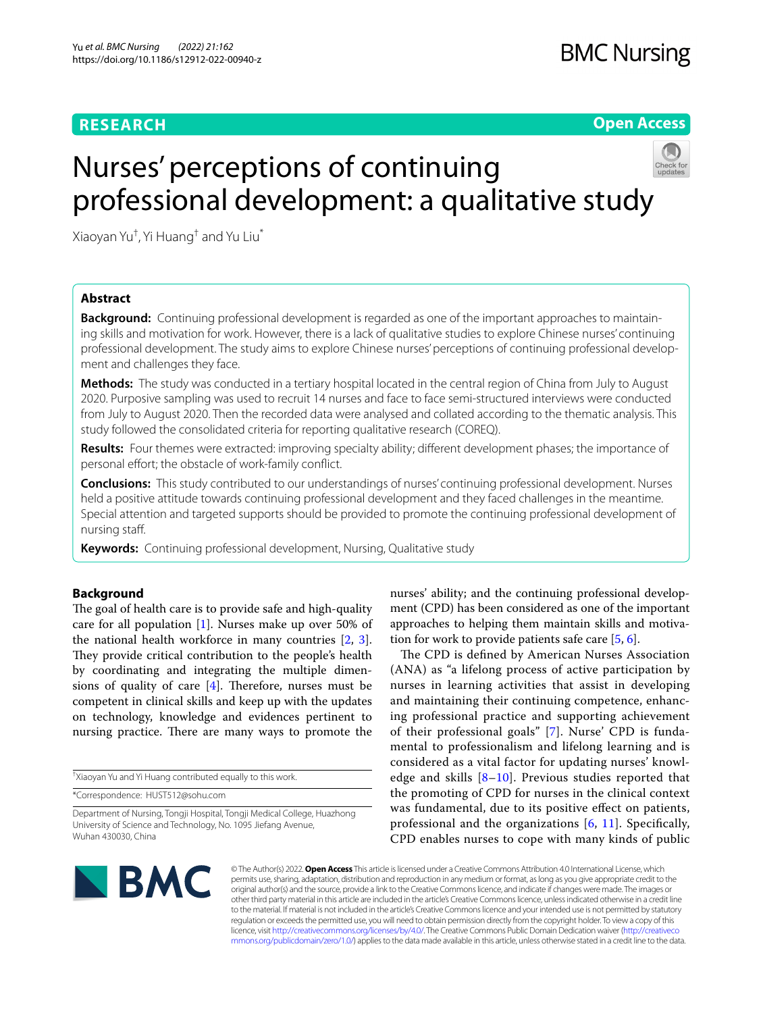# **RESEARCH**

**Open Access**

# Nurses' perceptions of continuing professional development: a qualitative study



Xiaoyan Yu† , Yi Huang† and Yu Liu\*

# **Abstract**

**Background:** Continuing professional development is regarded as one of the important approaches to maintaining skills and motivation for work. However, there is a lack of qualitative studies to explore Chinese nurses' continuing professional development. The study aims to explore Chinese nurses' perceptions of continuing professional development and challenges they face.

**Methods:** The study was conducted in a tertiary hospital located in the central region of China from July to August 2020. Purposive sampling was used to recruit 14 nurses and face to face semi-structured interviews were conducted from July to August 2020. Then the recorded data were analysed and collated according to the thematic analysis. This study followed the consolidated criteria for reporting qualitative research (COREQ).

**Results:** Four themes were extracted: improving specialty ability; diferent development phases; the importance of personal effort; the obstacle of work-family conflict.

**Conclusions:** This study contributed to our understandings of nurses' continuing professional development. Nurses held a positive attitude towards continuing professional development and they faced challenges in the meantime. Special attention and targeted supports should be provided to promote the continuing professional development of nursing staf.

**Keywords:** Continuing professional development, Nursing, Qualitative study

# **Background**

The goal of health care is to provide safe and high-quality care for all population [\[1](#page-6-0)]. Nurses make up over 50% of the national health workforce in many countries [\[2](#page-6-1), [3](#page-6-2)]. They provide critical contribution to the people's health by coordinating and integrating the multiple dimensions of quality of care  $[4]$  $[4]$ . Therefore, nurses must be competent in clinical skills and keep up with the updates on technology, knowledge and evidences pertinent to nursing practice. There are many ways to promote the

† Xiaoyan Yu and Yi Huang contributed equally to this work.

\*Correspondence: HUST512@sohu.com

nurses' ability; and the continuing professional development (CPD) has been considered as one of the important approaches to helping them maintain skills and motivation for work to provide patients safe care  $[5, 6]$  $[5, 6]$  $[5, 6]$ .

The CPD is defined by American Nurses Association (ANA) as "a lifelong process of active participation by nurses in learning activities that assist in developing and maintaining their continuing competence, enhancing professional practice and supporting achievement of their professional goals" [[7](#page-6-6)]. Nurse' CPD is fundamental to professionalism and lifelong learning and is considered as a vital factor for updating nurses' knowledge and skills  $[8-10]$  $[8-10]$ . Previous studies reported that the promoting of CPD for nurses in the clinical context was fundamental, due to its positive effect on patients, professional and the organizations [[6](#page-6-5), [11](#page-6-9)]. Specifcally, CPD enables nurses to cope with many kinds of public



© The Author(s) 2022. **Open Access** This article is licensed under a Creative Commons Attribution 4.0 International License, which permits use, sharing, adaptation, distribution and reproduction in any medium or format, as long as you give appropriate credit to the original author(s) and the source, provide a link to the Creative Commons licence, and indicate if changes were made. The images or other third party material in this article are included in the article's Creative Commons licence, unless indicated otherwise in a credit line to the material. If material is not included in the article's Creative Commons licence and your intended use is not permitted by statutory regulation or exceeds the permitted use, you will need to obtain permission directly from the copyright holder. To view a copy of this licence, visit [http://creativecommons.org/licenses/by/4.0/.](http://creativecommons.org/licenses/by/4.0/) The Creative Commons Public Domain Dedication waiver ([http://creativeco](http://creativecommons.org/publicdomain/zero/1.0/) [mmons.org/publicdomain/zero/1.0/](http://creativecommons.org/publicdomain/zero/1.0/)) applies to the data made available in this article, unless otherwise stated in a credit line to the data.

Department of Nursing, Tongji Hospital, Tongji Medical College, Huazhong University of Science and Technology, No. 1095 Jiefang Avenue, Wuhan 430030, China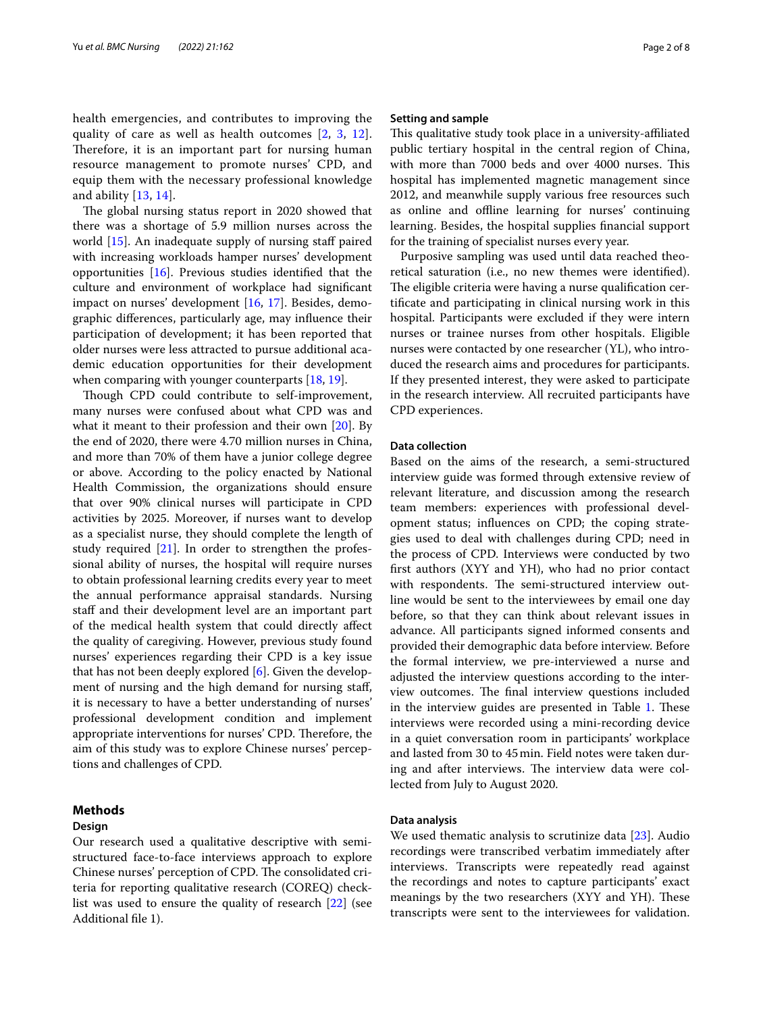health emergencies, and contributes to improving the quality of care as well as health outcomes [\[2](#page-6-1), [3](#page-6-2), [12\]](#page-6-10). Therefore, it is an important part for nursing human resource management to promote nurses' CPD, and equip them with the necessary professional knowledge and ability [[13,](#page-6-11) [14\]](#page-6-12).

The global nursing status report in 2020 showed that there was a shortage of 5.9 million nurses across the world  $[15]$  $[15]$ . An inadequate supply of nursing staff paired with increasing workloads hamper nurses' development opportunities [\[16\]](#page-6-14). Previous studies identifed that the culture and environment of workplace had signifcant impact on nurses' development [[16](#page-6-14), [17\]](#page-6-15). Besides, demographic diferences, particularly age, may infuence their participation of development; it has been reported that older nurses were less attracted to pursue additional academic education opportunities for their development when comparing with younger counterparts [[18,](#page-6-16) [19](#page-6-17)].

Though CPD could contribute to self-improvement, many nurses were confused about what CPD was and what it meant to their profession and their own [[20\]](#page-6-18). By the end of 2020, there were 4.70 million nurses in China, and more than 70% of them have a junior college degree or above. According to the policy enacted by National Health Commission, the organizations should ensure that over 90% clinical nurses will participate in CPD activities by 2025. Moreover, if nurses want to develop as a specialist nurse, they should complete the length of study required [\[21](#page-6-19)]. In order to strengthen the professional ability of nurses, the hospital will require nurses to obtain professional learning credits every year to meet the annual performance appraisal standards. Nursing staff and their development level are an important part of the medical health system that could directly afect the quality of caregiving. However, previous study found nurses' experiences regarding their CPD is a key issue that has not been deeply explored [\[6](#page-6-5)]. Given the development of nursing and the high demand for nursing staf, it is necessary to have a better understanding of nurses' professional development condition and implement appropriate interventions for nurses' CPD. Therefore, the aim of this study was to explore Chinese nurses' perceptions and challenges of CPD.

# **Methods**

# **Design**

Our research used a qualitative descriptive with semistructured face-to-face interviews approach to explore Chinese nurses' perception of CPD. The consolidated criteria for reporting qualitative research (COREQ) checklist was used to ensure the quality of research [[22\]](#page-6-20) (see Additional fle 1).

## **Setting and sample**

This qualitative study took place in a university-affiliated public tertiary hospital in the central region of China, with more than 7000 beds and over 4000 nurses. This hospital has implemented magnetic management since 2012, and meanwhile supply various free resources such as online and ofine learning for nurses' continuing learning. Besides, the hospital supplies fnancial support for the training of specialist nurses every year.

Purposive sampling was used until data reached theoretical saturation (i.e., no new themes were identifed). The eligible criteria were having a nurse qualification certifcate and participating in clinical nursing work in this hospital. Participants were excluded if they were intern nurses or trainee nurses from other hospitals. Eligible nurses were contacted by one researcher (YL), who introduced the research aims and procedures for participants. If they presented interest, they were asked to participate in the research interview. All recruited participants have CPD experiences.

# **Data collection**

Based on the aims of the research, a semi-structured interview guide was formed through extensive review of relevant literature, and discussion among the research team members: experiences with professional development status; infuences on CPD; the coping strategies used to deal with challenges during CPD; need in the process of CPD. Interviews were conducted by two frst authors (XYY and YH), who had no prior contact with respondents. The semi-structured interview outline would be sent to the interviewees by email one day before, so that they can think about relevant issues in advance. All participants signed informed consents and provided their demographic data before interview. Before the formal interview, we pre-interviewed a nurse and adjusted the interview questions according to the interview outcomes. The final interview questions included in the interview guides are presented in Table [1.](#page-2-0) These interviews were recorded using a mini-recording device in a quiet conversation room in participants' workplace and lasted from 30 to 45min. Field notes were taken during and after interviews. The interview data were collected from July to August 2020.

# **Data analysis**

We used thematic analysis to scrutinize data [\[23](#page-6-21)]. Audio recordings were transcribed verbatim immediately after interviews. Transcripts were repeatedly read against the recordings and notes to capture participants' exact meanings by the two researchers (XYY and YH). These transcripts were sent to the interviewees for validation.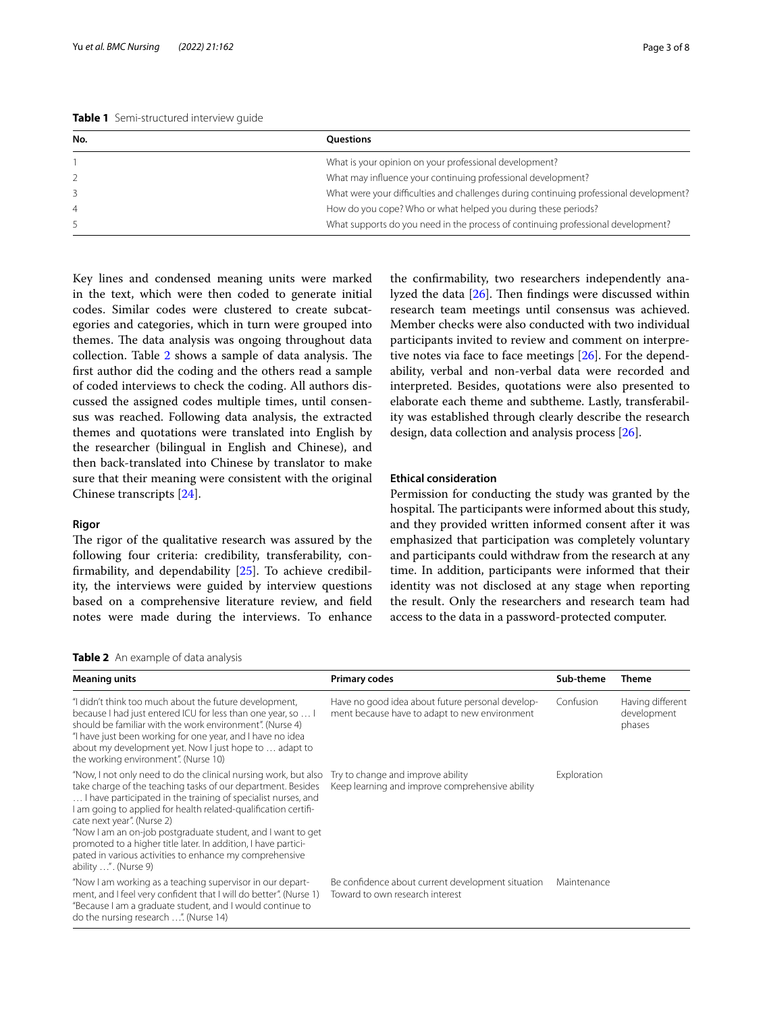<span id="page-2-0"></span>

| No. | <b>Ouestions</b>                                                                       |
|-----|----------------------------------------------------------------------------------------|
|     | What is your opinion on your professional development?                                 |
|     | What may influence your continuing professional development?                           |
|     | What were your difficulties and challenges during continuing professional development? |
|     | How do you cope? Who or what helped you during these periods?                          |
|     | What supports do you need in the process of continuing professional development?       |

Key lines and condensed meaning units were marked in the text, which were then coded to generate initial codes. Similar codes were clustered to create subcategories and categories, which in turn were grouped into themes. The data analysis was ongoing throughout data collection. Table [2](#page-2-1) shows a sample of data analysis. The frst author did the coding and the others read a sample of coded interviews to check the coding. All authors discussed the assigned codes multiple times, until consensus was reached. Following data analysis, the extracted themes and quotations were translated into English by the researcher (bilingual in English and Chinese), and then back-translated into Chinese by translator to make sure that their meaning were consistent with the original Chinese transcripts [[24\]](#page-6-22).

# **Rigor**

The rigor of the qualitative research was assured by the following four criteria: credibility, transferability, confrmability, and dependability [\[25](#page-6-23)]. To achieve credibility, the interviews were guided by interview questions based on a comprehensive literature review, and feld notes were made during the interviews. To enhance

the confrmability, two researchers independently analyzed the data  $[26]$  $[26]$ . Then findings were discussed within research team meetings until consensus was achieved. Member checks were also conducted with two individual participants invited to review and comment on interpretive notes via face to face meetings [\[26](#page-6-24)]. For the dependability, verbal and non-verbal data were recorded and interpreted. Besides, quotations were also presented to elaborate each theme and subtheme. Lastly, transferability was established through clearly describe the research design, data collection and analysis process [[26\]](#page-6-24).

# **Ethical consideration**

Permission for conducting the study was granted by the hospital. The participants were informed about this study, and they provided written informed consent after it was emphasized that participation was completely voluntary and participants could withdraw from the research at any time. In addition, participants were informed that their identity was not disclosed at any stage when reporting the result. Only the researchers and research team had access to the data in a password-protected computer.

<span id="page-2-1"></span>**Table 2** An example of data analysis

| <b>Meaning units</b>                                                                                                                                                                                                                                                                                                                                                                                                                                                       | <b>Primary codes</b>                                                                              | Sub-theme   | Theme                                     |
|----------------------------------------------------------------------------------------------------------------------------------------------------------------------------------------------------------------------------------------------------------------------------------------------------------------------------------------------------------------------------------------------------------------------------------------------------------------------------|---------------------------------------------------------------------------------------------------|-------------|-------------------------------------------|
| "I didn't think too much about the future development,<br>because I had just entered ICU for less than one year, so  I<br>should be familiar with the work environment". (Nurse 4)<br>"I have just been working for one year, and I have no idea<br>about my development yet. Now I just hope to  adapt to                                                                                                                                                                 | Have no good idea about future personal develop-<br>ment because have to adapt to new environment | Confusion   | Having different<br>development<br>phases |
| the working environment". (Nurse 10)<br>"Now, I not only need to do the clinical nursing work, but also<br>take charge of the teaching tasks of our department. Besides<br>I have participated in the training of specialist nurses, and<br>I am going to applied for health related-qualification certifi-<br>cate next year". (Nurse 2)<br>"Now I am an on-job postgraduate student, and I want to get<br>promoted to a higher title later. In addition, I have partici- | Try to change and improve ability<br>Keep learning and improve comprehensive ability              | Exploration |                                           |
| pated in various activities to enhance my comprehensive<br>ability ". (Nurse 9)<br>"Now I am working as a teaching supervisor in our depart-<br>ment, and I feel very confident that I will do better". (Nurse 1)<br>"Because I am a graduate student, and I would continue to<br>do the nursing research ". (Nurse 14)                                                                                                                                                    | Be confidence about current development situation<br>Toward to own research interest              | Maintenance |                                           |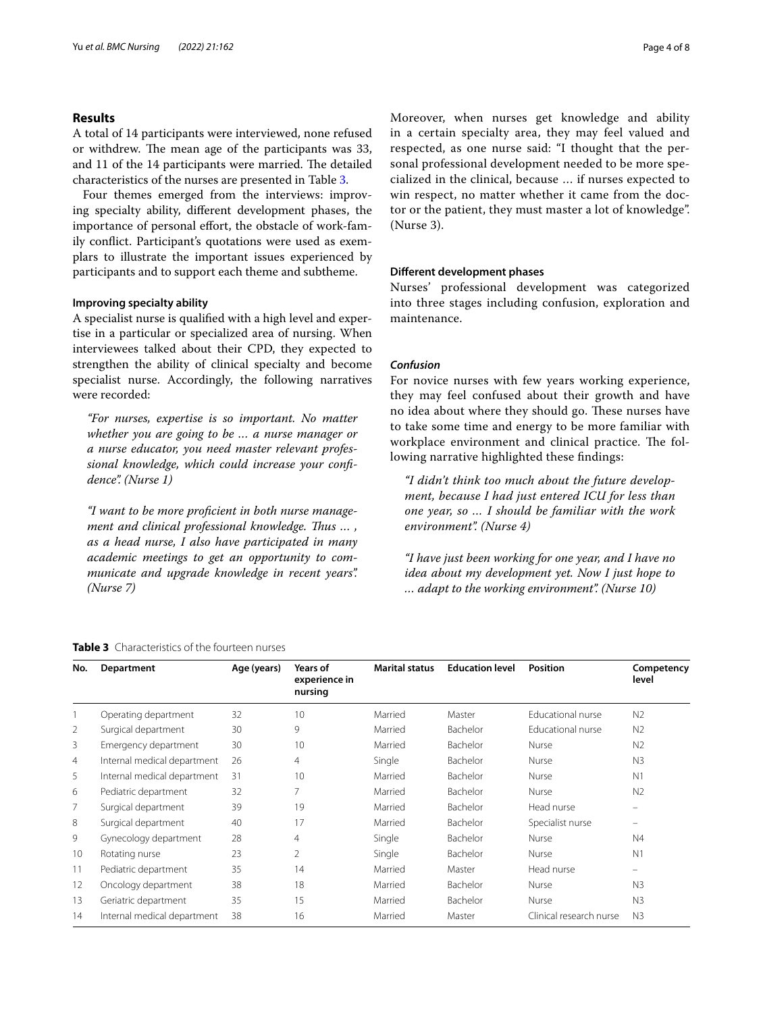# **Results**

A total of 14 participants were interviewed, none refused or withdrew. The mean age of the participants was 33, and 11 of the 14 participants were married. The detailed characteristics of the nurses are presented in Table [3](#page-3-0).

Four themes emerged from the interviews: improving specialty ability, diferent development phases, the importance of personal effort, the obstacle of work-family confict. Participant's quotations were used as exemplars to illustrate the important issues experienced by participants and to support each theme and subtheme.

# **Improving specialty ability**

A specialist nurse is qualifed with a high level and expertise in a particular or specialized area of nursing. When interviewees talked about their CPD, they expected to strengthen the ability of clinical specialty and become specialist nurse. Accordingly, the following narratives were recorded:

*"For nurses, expertise is so important. No matter whether you are going to be … a nurse manager or a nurse educator, you need master relevant professional knowledge, which could increase your confdence". (Nurse 1)*

*"I want to be more profcient in both nurse management and clinical professional knowledge. Tus … , as a head nurse, I also have participated in many academic meetings to get an opportunity to communicate and upgrade knowledge in recent years". (Nurse 7)*

Moreover, when nurses get knowledge and ability in a certain specialty area, they may feel valued and respected, as one nurse said: "I thought that the personal professional development needed to be more specialized in the clinical, because … if nurses expected to win respect, no matter whether it came from the doctor or the patient, they must master a lot of knowledge". (Nurse 3).

# **Diferent development phases**

Nurses' professional development was categorized into three stages including confusion, exploration and maintenance.

# *Confusion*

For novice nurses with few years working experience, they may feel confused about their growth and have no idea about where they should go. These nurses have to take some time and energy to be more familiar with workplace environment and clinical practice. The following narrative highlighted these fndings:

*"I didn't think too much about the future development, because I had just entered ICU for less than one year, so … I should be familiar with the work environment". (Nurse 4)*

*"I have just been working for one year, and I have no idea about my development yet. Now I just hope to … adapt to the working environment". (Nurse 10)*

#### <span id="page-3-0"></span>**Table 3** Characteristics of the fourteen nurses

**No. Department Age (years) Years of experience in nursing Marital status Education level Position Competency level** 1 Operating department 32 10 Married Master Educational nurse N2 2 Surgical department 30 9 Married Bachelor Educational nurse N2 3 Emergency department 30 10 Married Bachelor Nurse N2 4 Internal medical department 26 4 Single Bachelor Nurse N3 5 Internal medical department 31 10 Married Bachelor Nurse N1 6 Pediatric department 32 7 Married Bachelor Nurse N2 7 Surgical department 39 19 Married Bachelor Head nurse – 8 Surgical department 40 17 Married Bachelor Specialist nurse 9 Gynecology department 28 4 Single Bachelor Nurse N4 10 Rotating nurse 10 23 2 2 2 2 Single Bachelor Nurse 10 Nurse 10 1 11 Pediatric department 135 14 Married Master Head nurse 12 Oncology department 38 18 Married Bachelor Nurse N3 13 Geriatric department 135 15 15 Married Bachelor Nurse N3 14 Internal medical department 38 16 Married Master Clinical research nurse N3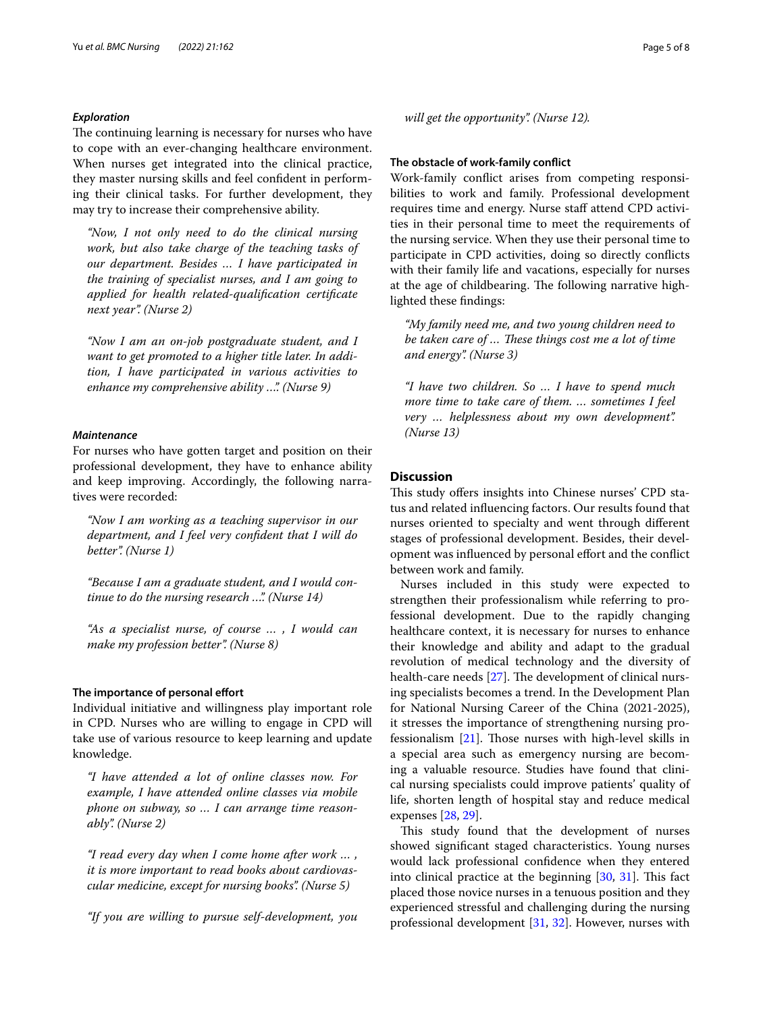# *Exploration*

The continuing learning is necessary for nurses who have to cope with an ever-changing healthcare environment. When nurses get integrated into the clinical practice, they master nursing skills and feel confdent in performing their clinical tasks. For further development, they may try to increase their comprehensive ability.

*"Now, I not only need to do the clinical nursing work, but also take charge of the teaching tasks of our department. Besides … I have participated in the training of specialist nurses, and I am going to applied for health related-qualifcation certifcate next year". (Nurse 2)*

*"Now I am an on-job postgraduate student, and I want to get promoted to a higher title later. In addition, I have participated in various activities to enhance my comprehensive ability …". (Nurse 9)*

# *Maintenance*

For nurses who have gotten target and position on their professional development, they have to enhance ability and keep improving. Accordingly, the following narratives were recorded:

*"Now I am working as a teaching supervisor in our department, and I feel very confdent that I will do better". (Nurse 1)*

*"Because I am a graduate student, and I would continue to do the nursing research …". (Nurse 14)*

*"As a specialist nurse, of course … , I would can make my profession better". (Nurse 8)*

## **The importance of personal effort**

Individual initiative and willingness play important role in CPD. Nurses who are willing to engage in CPD will take use of various resource to keep learning and update knowledge.

*"I have attended a lot of online classes now. For example, I have attended online classes via mobile phone on subway, so … I can arrange time reasonably". (Nurse 2)*

*"I read every day when I come home after work … , it is more important to read books about cardiovascular medicine, except for nursing books". (Nurse 5)*

*"If you are willing to pursue self-development, you* 

*will get the opportunity". (Nurse 12).*

**The obstacle of work-family confict**

Work-family confict arises from competing responsibilities to work and family. Professional development requires time and energy. Nurse staff attend CPD activities in their personal time to meet the requirements of the nursing service. When they use their personal time to participate in CPD activities, doing so directly conficts with their family life and vacations, especially for nurses at the age of childbearing. The following narrative highlighted these fndings:

*"My family need me, and two young children need to be taken care of ... These things cost me a lot of time and energy". (Nurse 3)*

*"I have two children. So … I have to spend much more time to take care of them. … sometimes I feel very … helplessness about my own development". (Nurse 13)*

# **Discussion**

This study offers insights into Chinese nurses' CPD status and related infuencing factors. Our results found that nurses oriented to specialty and went through diferent stages of professional development. Besides, their development was infuenced by personal efort and the confict between work and family.

Nurses included in this study were expected to strengthen their professionalism while referring to professional development. Due to the rapidly changing healthcare context, it is necessary for nurses to enhance their knowledge and ability and adapt to the gradual revolution of medical technology and the diversity of health-care needs  $[27]$  $[27]$ . The development of clinical nursing specialists becomes a trend. In the Development Plan for National Nursing Career of the China (2021-2025), it stresses the importance of strengthening nursing professionalism  $[21]$  $[21]$ . Those nurses with high-level skills in a special area such as emergency nursing are becoming a valuable resource. Studies have found that clinical nursing specialists could improve patients' quality of life, shorten length of hospital stay and reduce medical expenses [[28,](#page-6-26) [29](#page-6-27)].

This study found that the development of nurses showed signifcant staged characteristics. Young nurses would lack professional confdence when they entered into clinical practice at the beginning  $[30, 31]$  $[30, 31]$  $[30, 31]$ . This fact placed those novice nurses in a tenuous position and they experienced stressful and challenging during the nursing professional development [\[31](#page-7-1), [32](#page-7-2)]. However, nurses with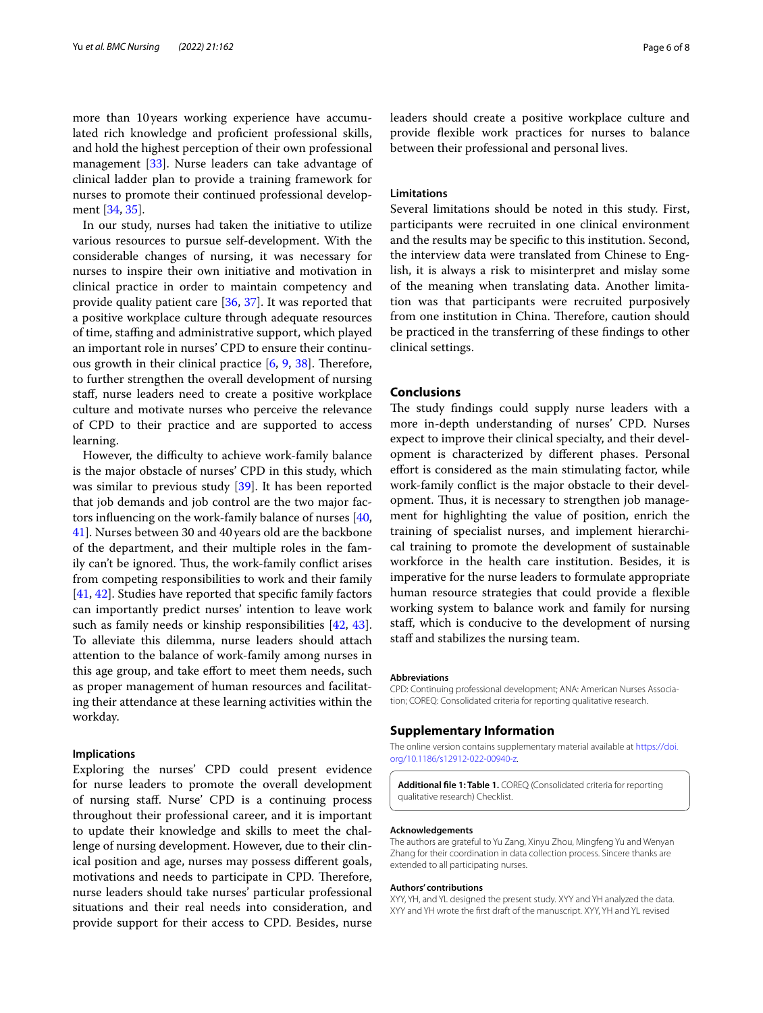more than 10years working experience have accumulated rich knowledge and profcient professional skills, and hold the highest perception of their own professional management [[33\]](#page-7-3). Nurse leaders can take advantage of clinical ladder plan to provide a training framework for nurses to promote their continued professional development [\[34](#page-7-4), [35\]](#page-7-5).

In our study, nurses had taken the initiative to utilize various resources to pursue self-development. With the considerable changes of nursing, it was necessary for nurses to inspire their own initiative and motivation in clinical practice in order to maintain competency and provide quality patient care [[36,](#page-7-6) [37](#page-7-7)]. It was reported that a positive workplace culture through adequate resources of time, stafng and administrative support, which played an important role in nurses' CPD to ensure their continuous growth in their clinical practice  $[6, 9, 38]$  $[6, 9, 38]$  $[6, 9, 38]$  $[6, 9, 38]$  $[6, 9, 38]$  $[6, 9, 38]$ . Therefore, to further strengthen the overall development of nursing staf, nurse leaders need to create a positive workplace culture and motivate nurses who perceive the relevance of CPD to their practice and are supported to access learning.

However, the difficulty to achieve work-family balance is the major obstacle of nurses' CPD in this study, which was similar to previous study [\[39\]](#page-7-9). It has been reported that job demands and job control are the two major factors infuencing on the work-family balance of nurses [\[40](#page-7-10), [41\]](#page-7-11). Nurses between 30 and 40 years old are the backbone of the department, and their multiple roles in the family can't be ignored. Thus, the work-family conflict arises from competing responsibilities to work and their family [[41,](#page-7-11) [42](#page-7-12)]. Studies have reported that specifc family factors can importantly predict nurses' intention to leave work such as family needs or kinship responsibilities [[42,](#page-7-12) [43](#page-7-13)]. To alleviate this dilemma, nurse leaders should attach attention to the balance of work-family among nurses in this age group, and take efort to meet them needs, such as proper management of human resources and facilitating their attendance at these learning activities within the workday.

# **Implications**

Exploring the nurses' CPD could present evidence for nurse leaders to promote the overall development of nursing staf. Nurse' CPD is a continuing process throughout their professional career, and it is important to update their knowledge and skills to meet the challenge of nursing development. However, due to their clinical position and age, nurses may possess diferent goals, motivations and needs to participate in CPD. Therefore, nurse leaders should take nurses' particular professional situations and their real needs into consideration, and provide support for their access to CPD. Besides, nurse leaders should create a positive workplace culture and provide fexible work practices for nurses to balance between their professional and personal lives.

# **Limitations**

Several limitations should be noted in this study. First, participants were recruited in one clinical environment and the results may be specifc to this institution. Second, the interview data were translated from Chinese to English, it is always a risk to misinterpret and mislay some of the meaning when translating data. Another limitation was that participants were recruited purposively from one institution in China. Therefore, caution should be practiced in the transferring of these fndings to other clinical settings.

# **Conclusions**

The study findings could supply nurse leaders with a more in-depth understanding of nurses' CPD. Nurses expect to improve their clinical specialty, and their development is characterized by diferent phases. Personal effort is considered as the main stimulating factor, while work-family confict is the major obstacle to their development. Thus, it is necessary to strengthen job management for highlighting the value of position, enrich the training of specialist nurses, and implement hierarchical training to promote the development of sustainable workforce in the health care institution. Besides, it is imperative for the nurse leaders to formulate appropriate human resource strategies that could provide a fexible working system to balance work and family for nursing staf, which is conducive to the development of nursing staff and stabilizes the nursing team.

#### **Abbreviations**

CPD: Continuing professional development; ANA: American Nurses Association; COREQ: Consolidated criteria for reporting qualitative research.

## **Supplementary Information**

The online version contains supplementary material available at [https://doi.](https://doi.org/10.1186/s12912-022-00940-z) [org/10.1186/s12912-022-00940-z.](https://doi.org/10.1186/s12912-022-00940-z)

**Additional fle 1: Table 1.** COREQ (Consolidated criteria for reporting qualitative research) Checklist.

#### **Acknowledgements**

The authors are grateful to Yu Zang, Xinyu Zhou, Mingfeng Yu and Wenyan Zhang for their coordination in data collection process. Sincere thanks are extended to all participating nurses.

#### **Authors' contributions**

XYY, YH, and YL designed the present study. XYY and YH analyzed the data. XYY and YH wrote the frst draft of the manuscript. XYY, YH and YL revised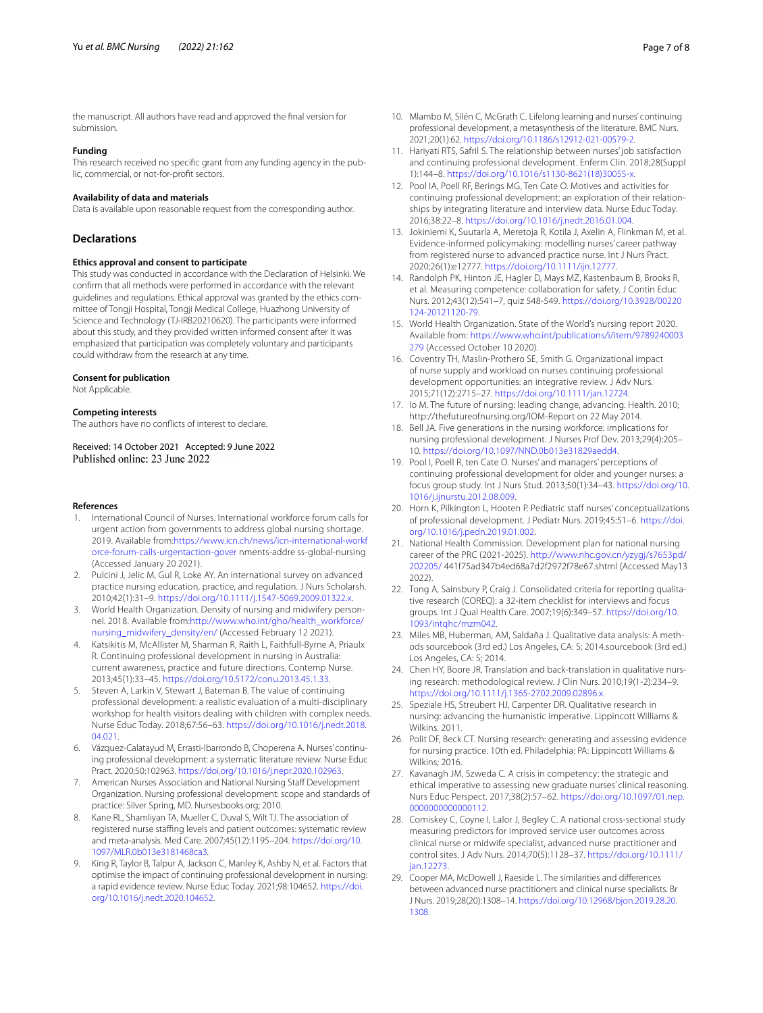# **Funding**

This research received no specifc grant from any funding agency in the public, commercial, or not-for-proft sectors.

# **Availability of data and materials**

Data is available upon reasonable request from the corresponding author.

#### **Declarations**

#### **Ethics approval and consent to participate**

This study was conducted in accordance with the Declaration of Helsinki. We confrm that all methods were performed in accordance with the relevant guidelines and regulations. Ethical approval was granted by the ethics committee of Tongji Hospital, Tongji Medical College, Huazhong University of Science and Technology (TJ-IRB20210620). The participants were informed about this study, and they provided written informed consent after it was emphasized that participation was completely voluntary and participants could withdraw from the research at any time.

#### **Consent for publication**

Not Applicable.

#### **Competing interests**

The authors have no conficts of interest to declare.

Received: 14 October 2021 Accepted: 9 June 2022

#### **References**

- <span id="page-6-0"></span>1. International Council of Nurses. International workforce forum calls for urgent action from governments to address global nursing shortage. 2019. Available from:[https://www.icn.ch/news/icn-international-workf](https://www.icn.ch/news/icn-international-workforce-forum-calls-urgentaction-gover) [orce-forum-calls-urgentaction-gover](https://www.icn.ch/news/icn-international-workforce-forum-calls-urgentaction-gover) nments-addre ss-global-nursing (Accessed January 20 2021).
- <span id="page-6-1"></span>2. Pulcini J, Jelic M, Gul R, Loke AY. An international survey on advanced practice nursing education, practice, and regulation. J Nurs Scholarsh. 2010;42(1):31–9. [https://doi.org/10.1111/j.1547-5069.2009.01322.x.](https://doi.org/10.1111/j.1547-5069.2009.01322.x)
- <span id="page-6-2"></span>3. World Health Organization. Density of nursing and midwifery personnel. 2018. Available from[:http://www.who.int/gho/health\\_workforce/](http://www.who.int/gho/health_workforce/nursing_midwifery_density/en/) [nursing\\_midwifery\\_density/en/](http://www.who.int/gho/health_workforce/nursing_midwifery_density/en/) (Accessed February 12 2021).
- <span id="page-6-3"></span>4. Katsikitis M, McAllister M, Sharman R, Raith L, Faithfull-Byrne A, Priaulx R. Continuing professional development in nursing in Australia: current awareness, practice and future directions. Contemp Nurse. 2013;45(1):33–45. [https://doi.org/10.5172/conu.2013.45.1.33.](https://doi.org/10.5172/conu.2013.45.1.33)
- <span id="page-6-4"></span>5. Steven A, Larkin V, Stewart J, Bateman B. The value of continuing professional development: a realistic evaluation of a multi-disciplinary workshop for health visitors dealing with children with complex needs. Nurse Educ Today. 2018;67:56–63. [https://doi.org/10.1016/j.nedt.2018.](https://doi.org/10.1016/j.nedt.2018.04.021) [04.021.](https://doi.org/10.1016/j.nedt.2018.04.021)
- <span id="page-6-5"></span>6. Vázquez-Calatayud M, Errasti-Ibarrondo B, Choperena A. Nurses' continuing professional development: a systematic literature review. Nurse Educ Pract. 2020;50:102963. [https://doi.org/10.1016/j.nepr.2020.102963.](https://doi.org/10.1016/j.nepr.2020.102963)
- <span id="page-6-6"></span>7. American Nurses Association and National Nursing Staff Development Organization. Nursing professional development: scope and standards of practice: Silver Spring, MD. Nursesbooks.org; 2010.
- <span id="page-6-7"></span>Kane RL, Shamliyan TA, Mueller C, Duval S, Wilt TJ. The association of registered nurse staffing levels and patient outcomes: systematic review and meta-analysis. Med Care. 2007;45(12):1195–204. [https://doi.org/10.](https://doi.org/10.1097/MLR.0b013e3181468ca3) [1097/MLR.0b013e3181468ca3.](https://doi.org/10.1097/MLR.0b013e3181468ca3)
- <span id="page-6-28"></span>9. King R, Taylor B, Talpur A, Jackson C, Manley K, Ashby N, et al. Factors that optimise the impact of continuing professional development in nursing: a rapid evidence review. Nurse Educ Today. 2021;98:104652. [https://doi.](https://doi.org/10.1016/j.nedt.2020.104652) [org/10.1016/j.nedt.2020.104652.](https://doi.org/10.1016/j.nedt.2020.104652)
- <span id="page-6-8"></span>10. Mlambo M, Silén C, McGrath C. Lifelong learning and nurses' continuing professional development, a metasynthesis of the literature. BMC Nurs. 2021;20(1):62. [https://doi.org/10.1186/s12912-021-00579-2.](https://doi.org/10.1186/s12912-021-00579-2)
- <span id="page-6-9"></span>11. Hariyati RTS, Safril S. The relationship between nurses' job satisfaction and continuing professional development. Enferm Clin. 2018;28(Suppl 1):144–8. [https://doi.org/10.1016/s1130-8621\(18\)30055-x](https://doi.org/10.1016/s1130-8621(18)30055-x).
- <span id="page-6-10"></span>12. Pool IA, Poell RF, Berings MG, Ten Cate O. Motives and activities for continuing professional development: an exploration of their relationships by integrating literature and interview data. Nurse Educ Today. 2016;38:22–8.<https://doi.org/10.1016/j.nedt.2016.01.004>.
- <span id="page-6-11"></span>13. Jokiniemi K, Suutarla A, Meretoja R, Kotila J, Axelin A, Flinkman M, et al. Evidence-informed policymaking: modelling nurses' career pathway from registered nurse to advanced practice nurse. Int J Nurs Pract. 2020;26(1):e12777. [https://doi.org/10.1111/ijn.12777.](https://doi.org/10.1111/ijn.12777)
- <span id="page-6-12"></span>14. Randolph PK, Hinton JE, Hagler D, Mays MZ, Kastenbaum B, Brooks R, et al. Measuring competence: collaboration for safety. J Contin Educ Nurs. 2012;43(12):541–7, quiz 548-549. [https://doi.org/10.3928/00220](https://doi.org/10.3928/00220124-20121120-79) [124-20121120-79](https://doi.org/10.3928/00220124-20121120-79).
- <span id="page-6-13"></span>15. World Health Organization. State of the World's nursing report 2020. Available from: [https://www.who.int/publications/i/item/9789240003](https://www.who.int/publications/i/item/9789240003279) [279](https://www.who.int/publications/i/item/9789240003279) (Accessed October 10 2020).
- <span id="page-6-14"></span>16. Coventry TH, Maslin-Prothero SE, Smith G. Organizational impact of nurse supply and workload on nurses continuing professional development opportunities: an integrative review. J Adv Nurs. 2015;71(12):2715–27.<https://doi.org/10.1111/jan.12724>.
- <span id="page-6-15"></span>17. Io M. The future of nursing: leading change, advancing. Health. 2010; http://thefutureofnursing.org/IOM-Report on 22 May 2014.
- <span id="page-6-16"></span>18. Bell JA. Five generations in the nursing workforce: implications for nursing professional development. J Nurses Prof Dev. 2013;29(4):205– 10. [https://doi.org/10.1097/NND.0b013e31829aedd4.](https://doi.org/10.1097/NND.0b013e31829aedd4)
- <span id="page-6-17"></span>19. Pool I, Poell R, ten Cate O. Nurses' and managers' perceptions of continuing professional development for older and younger nurses: a focus group study. Int J Nurs Stud. 2013;50(1):34–43. [https://doi.org/10.](https://doi.org/10.1016/j.ijnurstu.2012.08.009) [1016/j.ijnurstu.2012.08.009.](https://doi.org/10.1016/j.ijnurstu.2012.08.009)
- <span id="page-6-18"></span>20. Horn K, Pilkington L, Hooten P. Pediatric staff nurses' conceptualizations of professional development. J Pediatr Nurs. 2019;45:51–6. [https://doi.](https://doi.org/10.1016/j.pedn.2019.01.002) [org/10.1016/j.pedn.2019.01.002](https://doi.org/10.1016/j.pedn.2019.01.002).
- <span id="page-6-19"></span>21. National Health Commission. Development plan for national nursing career of the PRC (2021-2025). [http://www.nhc.gov.cn/yzygj/s7653pd/](http://www.nhc.gov.cn/yzygj/s7653pd/202205/) [202205/](http://www.nhc.gov.cn/yzygj/s7653pd/202205/) 441f75ad347b4ed68a7d2f2972f78e67.shtml (Accessed May13 2022).
- <span id="page-6-20"></span>22. Tong A, Sainsbury P, Craig J. Consolidated criteria for reporting qualitative research (COREQ): a 32-item checklist for interviews and focus groups. Int J Qual Health Care. 2007;19(6):349–57. [https://doi.org/10.](https://doi.org/10.1093/intqhc/mzm042) [1093/intqhc/mzm042](https://doi.org/10.1093/intqhc/mzm042).
- <span id="page-6-21"></span>23. Miles MB, Huberman, AM, Saldaña J. Qualitative data analysis: A methods sourcebook (3rd ed.) Los Angeles, CA: S; 2014.sourcebook (3rd ed.) Los Angeles, CA: S; 2014.
- <span id="page-6-22"></span>24. Chen HY, Boore JR. Translation and back-translation in qualitative nursing research: methodological review. J Clin Nurs. 2010;19(1-2):234–9. <https://doi.org/10.1111/j.1365-2702.2009.02896.x>.
- <span id="page-6-23"></span>25. Speziale HS, Streubert HJ, Carpenter DR. Qualitative research in nursing: advancing the humanistic imperative. Lippincott Williams & Wilkins. 2011.
- <span id="page-6-24"></span>26. Polit DF, Beck CT. Nursing research: generating and assessing evidence for nursing practice. 10th ed. Philadelphia: PA: Lippincott Williams & Wilkins; 2016.
- <span id="page-6-25"></span>27. Kavanagh JM, Szweda C. A crisis in competency: the strategic and ethical imperative to assessing new graduate nurses' clinical reasoning. Nurs Educ Perspect. 2017;38(2):57–62. [https://doi.org/10.1097/01.nep.](https://doi.org/10.1097/01.nep.0000000000000112) [0000000000000112.](https://doi.org/10.1097/01.nep.0000000000000112)
- <span id="page-6-26"></span>28. Comiskey C, Coyne I, Lalor J, Begley C. A national cross-sectional study measuring predictors for improved service user outcomes across clinical nurse or midwife specialist, advanced nurse practitioner and control sites. J Adv Nurs. 2014;70(5):1128–37. [https://doi.org/10.1111/](https://doi.org/10.1111/jan.12273) [jan.12273](https://doi.org/10.1111/jan.12273).
- <span id="page-6-27"></span>29. Cooper MA, McDowell J, Raeside L. The similarities and diferences between advanced nurse practitioners and clinical nurse specialists. Br J Nurs. 2019;28(20):1308–14. [https://doi.org/10.12968/bjon.2019.28.20.](https://doi.org/10.12968/bjon.2019.28.20.1308) [1308](https://doi.org/10.12968/bjon.2019.28.20.1308).